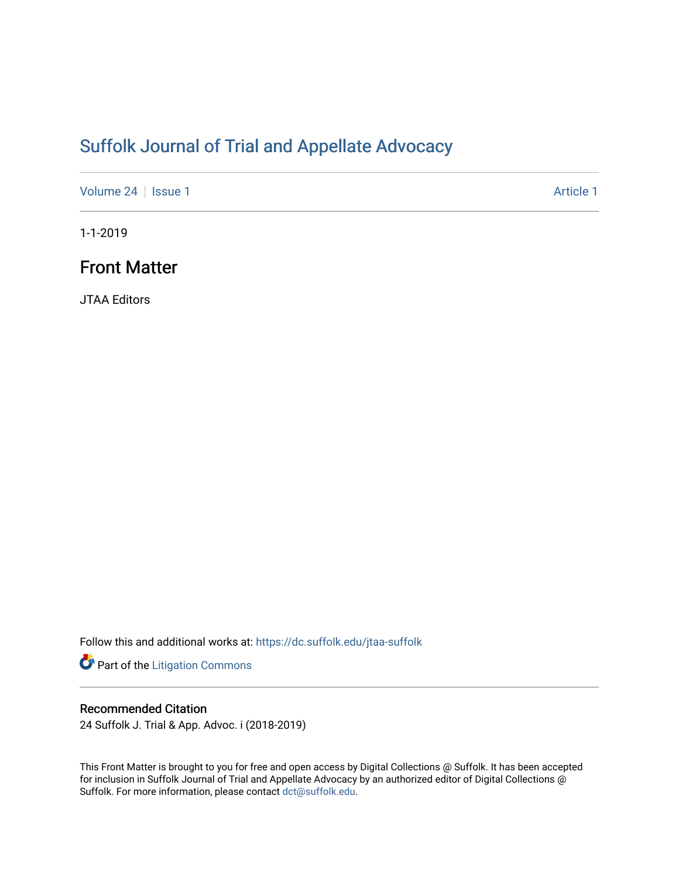# [Suffolk Journal of Trial and Appellate Advocacy](https://dc.suffolk.edu/jtaa-suffolk)

[Volume 24](https://dc.suffolk.edu/jtaa-suffolk/vol24) | [Issue 1](https://dc.suffolk.edu/jtaa-suffolk/vol24/iss1) Article 1

1-1-2019

# Front Matter

JTAA Editors

Follow this and additional works at: [https://dc.suffolk.edu/jtaa-suffolk](https://dc.suffolk.edu/jtaa-suffolk?utm_source=dc.suffolk.edu%2Fjtaa-suffolk%2Fvol24%2Fiss1%2F1&utm_medium=PDF&utm_campaign=PDFCoverPages) 

Part of the [Litigation Commons](http://network.bepress.com/hgg/discipline/910?utm_source=dc.suffolk.edu%2Fjtaa-suffolk%2Fvol24%2Fiss1%2F1&utm_medium=PDF&utm_campaign=PDFCoverPages)

## Recommended Citation

24 Suffolk J. Trial & App. Advoc. i (2018-2019)

This Front Matter is brought to you for free and open access by Digital Collections @ Suffolk. It has been accepted for inclusion in Suffolk Journal of Trial and Appellate Advocacy by an authorized editor of Digital Collections @ Suffolk. For more information, please contact [dct@suffolk.edu.](mailto:dct@suffolk.edu)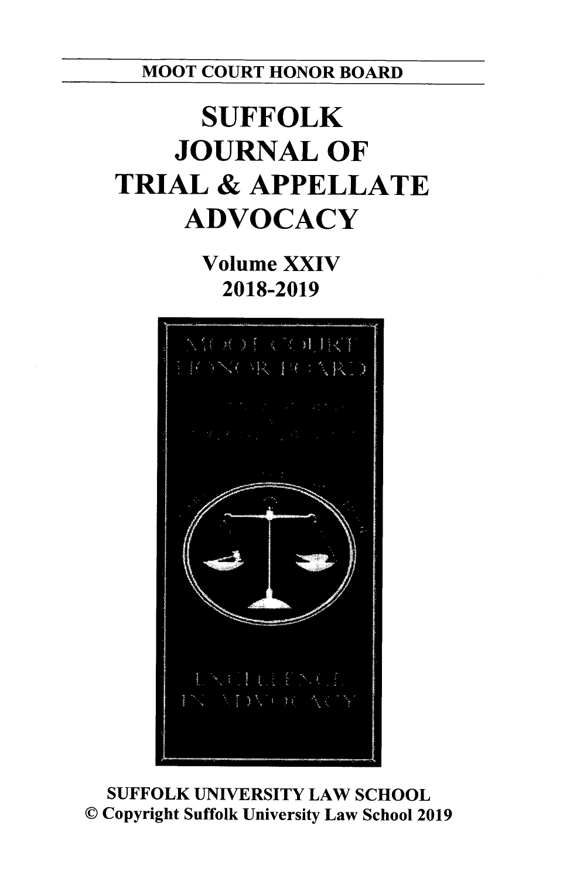MOOT **COURT** HONOR BOARD

# **SUFFOLK JOURNAL OF TRIAL & APPELLATE ADVOCACY**

**Volume XXIV 2018-2019**



**SUFFOLK UNIVERSITY** LAW **SCHOOL C** Copyright Suffolk University Law School **2019**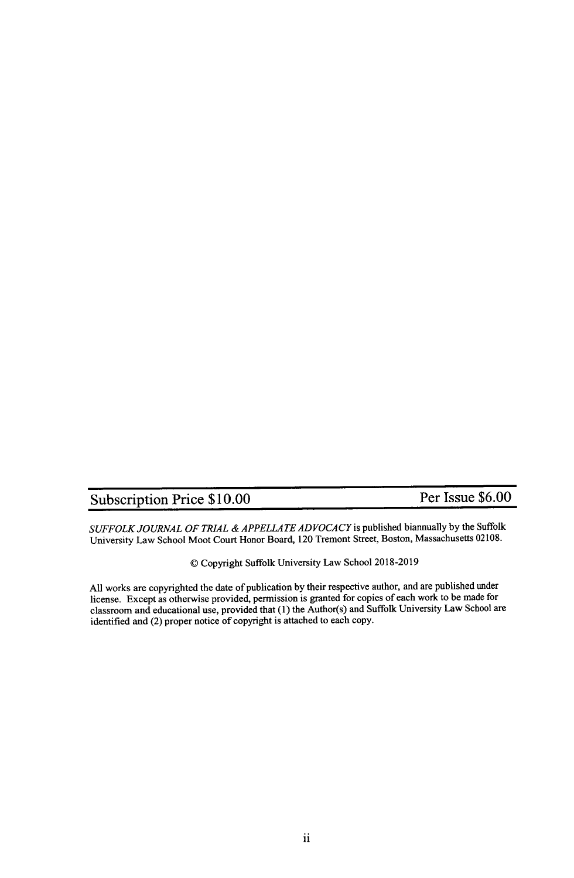## Subscription Price  $$10.00$  Per Issue  $$6.00$

*SUFFOLK JOURNAL OF TRIAL &APPELLATE ADVOCACY is* published biannually by the Suffolk University Law School Moot Court Honor Board, 120 Tremont Street, Boston, Massachusetts **02108.**

**O0** Copyright Suffolk University Law School **2018-2019**

**All** works are copyrighted the date of publication **by** their respective author, and are published under license. Except as otherwise provided, permission is granted for copies of each work to be made for classroom and educational use, provided that **(1)** the Author(s) and Suffolk University Law School are identified and (2) proper notice of copyright is attached to each copy.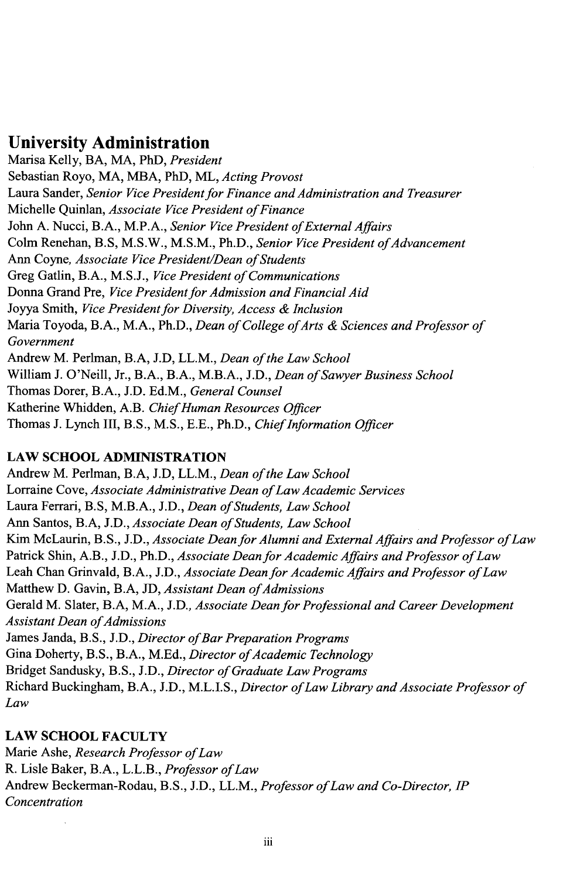## **University Administration**

Marisa Kelly, BA, MA, PhD, *President* Sebastian Royo, MA, **MBA,** PhD, ML, *Acting Provost* Laura Sander, *Senior Vice President for Finance and Administration and Treasurer* Michelle Quinlan, *Associate Vice President of Finance* John **A.** Nucci, B.A., M.P.A., *Senior Vice President of External Affairs* Colm Renehan, B.S, M.S.W., M.S.M., Ph.D., *Senior Vice President of Advancement* Ann Coyne, *Associate Vice President/Dean of Students* Greg Gatlin, B.A., **M.S.J.,** *Vice President of Communications* Donna Grand Pre, *Vice President for Admission and Financial Aid* Joyya Smith, *Vice President for Diversity, Access & Inclusion* Maria Toyoda, B.A., M.A., Ph.D., *Dean of College ofArts & Sciences and Professor of Government* Andrew M. Perlman, B.A, **J.D,** LL.M., *Dean of the Law School* William **J.** O'Neill, Jr., B.A., B.A., M.B.A., **J.D.,** *Dean ofSawyer Business School* Thomas Dorer, B.A., **J.D. Ed.M.,** *General Counsel* Katherine Whidden, A.B. *ChiefHuman Resources Officer* Thomas **J.** Lynch III, B.S., **M.S., E.E.,** Ph.D., *ChiefInformation Officer*

## **LAW SCHOOL ADMINISTRATION**

Andrew M. Perlman, B.A, **J.D,** LL.M., *Dean of the Law School* Lorraine Cove, *Associate Administrative Dean ofLaw Academic Services* Laura Ferrari, B.S, M.B.A., J.D., *Dean of Students, Law School* Ann Santos, B.A, **J.D.,** *Associate Dean of Students, Law School* Kim McLaurin, B.S., **J.D.,** *Associate Dean for Alumni and External Affairs and Professor of Law* Patrick Shin, A.B., **J.D.,** Ph.D., *Associate Dean for Academic Affairs and Professor of Law* Leah Chan Grinvald, B.A., **J.D.,** *Associate Dean for Academic Affairs and Professor of Law* Matthew D. Gavin, B.A, JD, Assistant Dean of Admissions Gerald M. Slater, B.A, M.A., **J.D.,** *Associate Dean for Professional and Career Development Assistant Dean ofAdmissions* James Janda, **B.S., J.D.,** *Director ofBar Preparation Programs* Gina Doherty, B.S., B.A., M.Ed., *Director of Academic Technology* Bridget Sandusky, **B.S., J.D.,** *Director of Graduate Law Programs* Richard Buckingham, B.A., **J.D., M.L.I.S.,** *Director ofLaw Library and Associate Professor of Law*

## **LAW SCHOOL FACULTY**

Marie Ashe, *Research Professor ofLaw* R. Lisle Baker, B.A., L.L.B., *Professor ofLaw* Andrew Beckerman-Rodau, B.S., **J.D.,** LL.M., *Professor ofLaw and Co-Director, IP Concentration*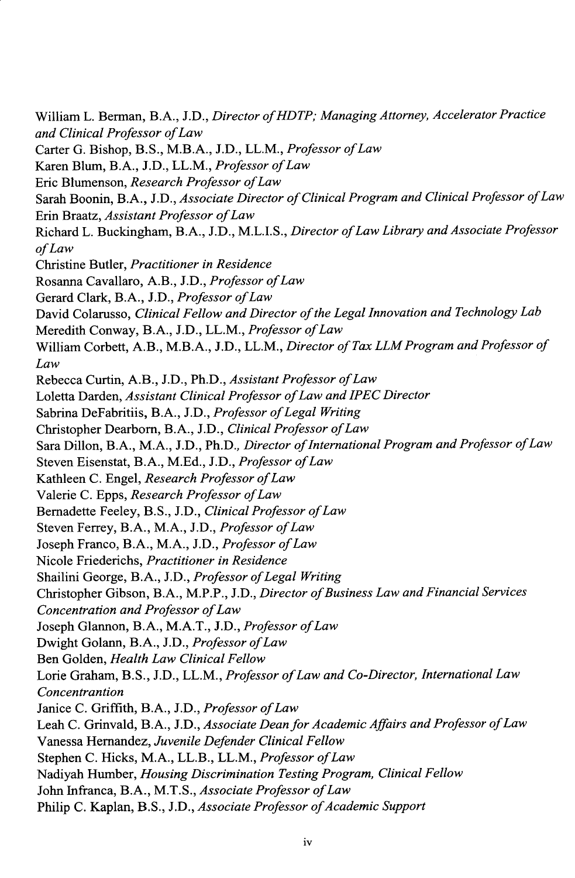William L. Berman, B.A., **J.D.,** *Director ofHDTP, Managing Attorney, Accelerator Practice and Clinical Professor ofLaw* Carter **G.** Bishop, B.S., M.B.A., **J.D.,** LL.M., *Professor ofLaw* Karen Blum, B.A., **J.D.,** LL.M., *Professor ofLaw* Eric Blumenson, *Research Professor ofLaw* Sarah Boonin, B.A., **J.D.,** *Associate Director of Clinical Program and Clinical Professor ofLaw* Erin Braatz, *Assistant Professor ofLaw* Richard L. Buckingham, B.A., **J.D., M.L.I.S.,** *Director ofLaw Library and Associate Professor ofLaw* Christine Butler, *Practitioner in Residence* Rosanna Cavallaro, A.B., **J.D.,** *Professor ofLaw* Gerard Clark, B.A., **J.D.,** *Professor ofLaw* David Colarusso, *Clinical Fellow and Director of the Legal Innovation and Technology Lab* Meredith Conway, B.A., **J.D.,** LL.M., *Professor ofLaw* William Corbett, A.B., M.B.A., **J.D.,** LL.M., *Director of Tax LLM Program and Professor of Law* Rebecca Curtin, A.B., **J.D.,** Ph.D., *Assistant Professor ofLaw* Loletta Darden, *Assistant Clinical Professor ofLaw and IPEC Director* Sabrina DeFabritiis, B.A., J.D., *Professor of Legal Writing* Christopher Dearborn, B.A., **J.D.,** *Clinical Professor ofLaw* Sara Dillon, B.A., M.A., J.D., Ph.D., *Director of International Program and Professor of Law* Steven Eisenstat, B.A., **M.Ed., J.D.,** *Professor ofLaw* Kathleen **C.** Engel, *Research Professor ofLaw* Valerie **C.** Epps, *Research Professor ofLaw* Bernadette Feeley, **B.S., J.D.,** *Clinical Professor ofLaw* Steven Ferrey, B.A., M.A., **J.D.,** *Professor ofLaw* Joseph Franco, B.A., M.A., **J.D.,** *Professor ofLaw* Nicole Friederichs, *Practitioner in Residence* Shailini George, B.A., J.D., *Professor of Legal Writing* Christopher Gibson, B.A., M.P.P., **J.D.,** *Director ofBusiness Law and Financial Services Concentration and Professor ofLaw* Joseph Glannon, B.A., M.A.T., **J.D.,** *Professor ofLaw* Dwight Golann, B.A., **J.D.,** *Professor ofLaw* Ben Golden, *Health Law Clinical Fellow* Lorie Graham, B.S., **J.D.,** LL.M., *Professor ofLaw and Co-Director, International Law Concentrantion* Janice **C.** Griffith, B.A., **J.D.,** *Professor ofLaw* Leah **C.** Grinvald, B.A., **J.D.,** *Associate Dean for Academic Affairs and Professor of Law* Vanessa Hernandez, *Juvenile Defender Clinical Fellow* Stephen **C.** Hicks, M.A., LL.B., LL.M., *Professor ofLaw* Nadiyah Humber, *Housing Discrimination Testing Program, Clinical Fellow* John Infranca, B.A., M.T.S., *Associate Professor of Law* Philip C. Kaplan, B.S., J.D., *Associate Professor of Academic Support*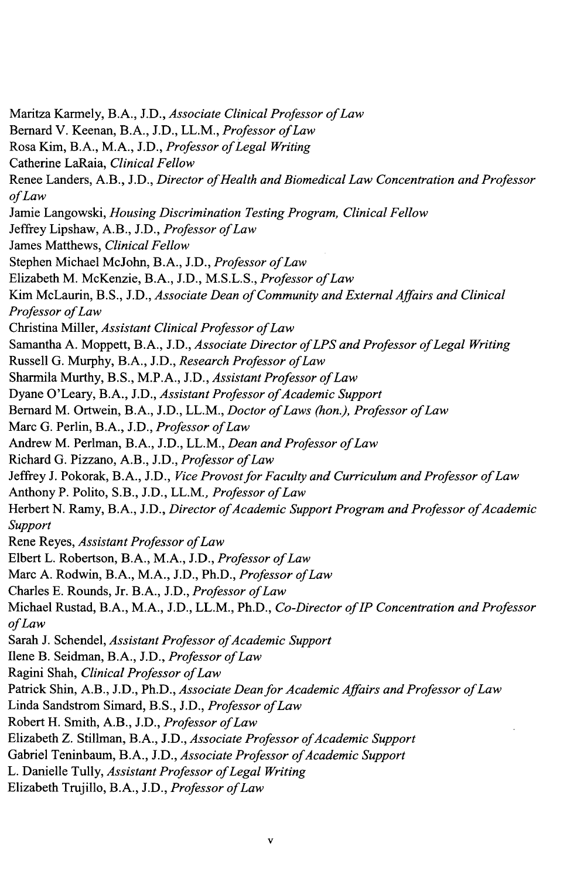Maritza Karmely, B.A., *J.D., Associate Clinical Professor ofLaw* Bernard V. Keenan, B.A., **J.D.,** LL.M., *Professor ofLaw* Rosa Kim, B.A., M.A., **J.D.,** *Professor ofLegal Writing* Catherine LaRaia, *Clinical Fellow* Renee Landers, A.B., **J.D.,** *Director ofHealth and Biomedical Law Concentration and Professor ofLaw* Jamie Langowski, *Housing Discrimination Testing Program, Clinical Fellow* Jeffrey Lipshaw, A.B., **J.D.,** *Professor of Law* James Matthews, *Clinical Fellow* Stephen Michael McJohn, B.A., **J.D.,** *Professor ofLaw* Elizabeth M. McKenzie, B.A., **J.D., M.S.L.S.,** *Professor ofLaw* Kim McLaurin, B.S., *J.D., Associate Dean of Community and External Affairs and Clinical Professor ofLaw* Christina Miller, *Assistant Clinical Professor ofLaw* Samantha **A.** Moppett, B.A., **J.D.,** *Associate Director ofLPS and Professor ofLegal Writing* Russell **G.** Murphy, B.A., **J.D.,** *Research Professor ofLaw* Sharmila Murthy, B.S., M.P.A., J.D., *Assistant Professor of Law* Dyane O'Leary, B.A., J.D., *Assistant Professor of Academic Support* Bernard M. Ortwein, B.A., **J.D.,** LL.M., *Doctor ofLaws (hon.), Professor ofLaw* Marc **G.** Perlin, B.A., **J.D.,** *Professor ofLaw* Andrew M. Perlman, B.A., **J.D.,** LL.M., *Dean and Professor ofLaw* Richard **G.** Pizzano, A.B., **J.D.,** *Professor ofLaw* Jeffrey **J.** Pokorak, B.A., **J.D.,** *Vice Provost for Faculty and Curriculum and Professor of Law* Anthony P. Polito, S.B., **J.D.,** LL.M., *Professor ofLaw* Herbert N. Ramy, B.A., J.D., *Director of Academic Support Program and Professor of Academic Support* Rene Reyes, *Assistant Professor ofLaw* Elbert L. Robertson, B.A., M.A., **J.D.,** *Professor ofLaw* Marc **A.** Rodwin, B.A., M.A., **J.D.,** Ph.D., *Professor ofLaw* Charles **E.** Rounds, Jr. B.A., **J.D.,** *Professor ofLaw* Michael Rustad, B.A., M.A., **J.D.,** LL.M., Ph.D., *Co-Director of IP Concentration and Professor ofLaw* Sarah J. Schendel, *Assistant Professor of Academic Support* Ilene B. Seidman, B.A., **J.D.,** *Professor ofLaw* Ragini Shah, *Clinical Professor ofLaw* Patrick Shin, A.B., **J.D.,** Ph.D., *Associate Dean for Academic Affairs and Professor of Law* Linda Sandstrom Simard, B.S., **J.D.,** *Professor ofLaw* Robert H. Smith, A.B., **J.D.,** *Professor ofLaw* Elizabeth Z. Stillman, B.A., J.D., *Associate Professor of Academic Support* Gabriel Teninbaum, B.A., J.D., *Associate Professor of Academic Support* L. Danielle Tully, *Assistant Professor ofLegal Writing* Elizabeth Trujillo, B.A., **J.D.,** *Professor ofLaw*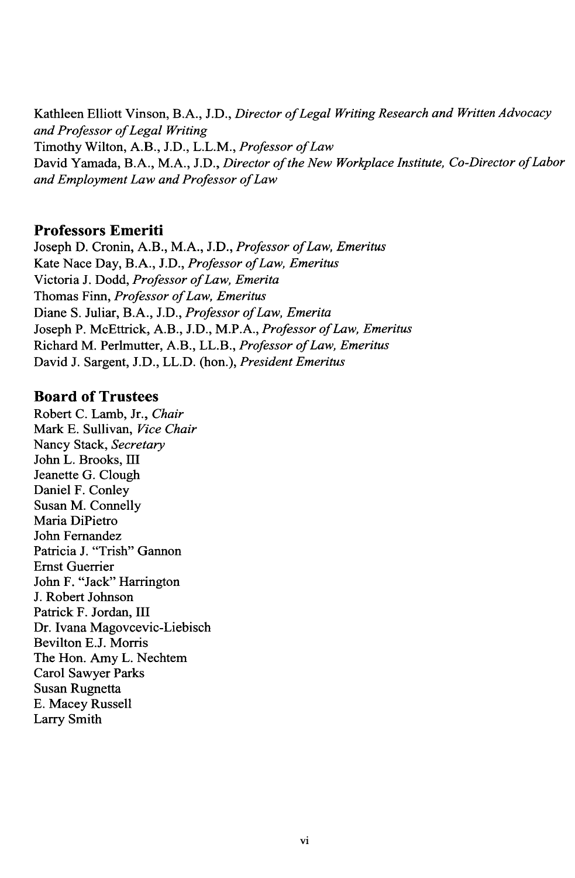Kathleen Elliott Vinson, B.A., **J.D.,** *Director ofLegal Writing Research and Written Advocacy and Professor of Legal Writing* Timothy Wilton, A.B., **J.D.,** L.L.M., *Professor ofLaw* David Yamada, B.A., M.A., **J.D.,** *Director of the New Workplace Institute, Co-Director ofLabor and Employment Law and Professor ofLaw*

#### **Professors Emeriti**

**Joseph D.** Cronin, A.B., M.A., **J.D.,** *Professor ofLaw, Emeritus* Kate Nace Day, B.A., **J.D.,** *Professor ofLaw, Emeritus* Victoria **J.** Dodd, *Professor ofLaw, Emerita* Thomas Finn, *Professor ofLaw, Emeritus* Diane **S.** Juliar, B.A., **J.D.,** *Professor ofLaw, Emerita* Joseph P. McEttrick, A.B., **J.D.,** M.P.A., *Professor ofLaw, Emeritus* Richard M. Perlmutter, A.B., LL.B., *Professor ofLaw, Emeritus* David **J.** Sargent, **J.D.,** LL.D. (hon.), *President Emeritus*

## **Board of Trustees**

Robert **C.** Lamb, Jr., *Chair* Mark **E.** Sullivan, *Vice Chair* Nancy Stack, *Secretary* John L. Brooks, III Jeanette **G.** Clough Daniel F. Conley Susan M. Connelly Maria DiPietro John Fernandez Patricia J. "Trish" Gannon Ernst Guerrier John F. "Jack" Harrington **J.** Robert Johnson Patrick F. Jordan, III Dr. Ivana Magovcevic-Liebisch Bevilton **E.J.** Morris The Hon. Amy L. Nechtem Carol Sawyer Parks Susan Rugnetta **E.** Macey Russell Larry Smith